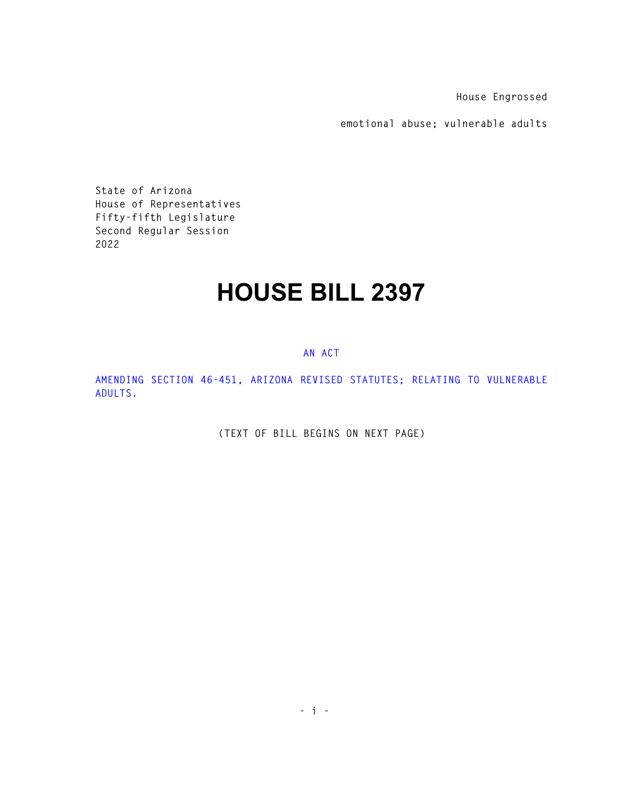**House Engrossed** 

**emotional abuse; vulnerable adults** 

**State of Arizona House of Representatives Fifty-fifth Legislature Second Regular Session 2022** 

## **HOUSE BILL 2397**

## **AN ACT**

**AMENDING SECTION 46-451, ARIZONA REVISED STATUTES; RELATING TO VULNERABLE ADULTS.** 

**(TEXT OF BILL BEGINS ON NEXT PAGE)**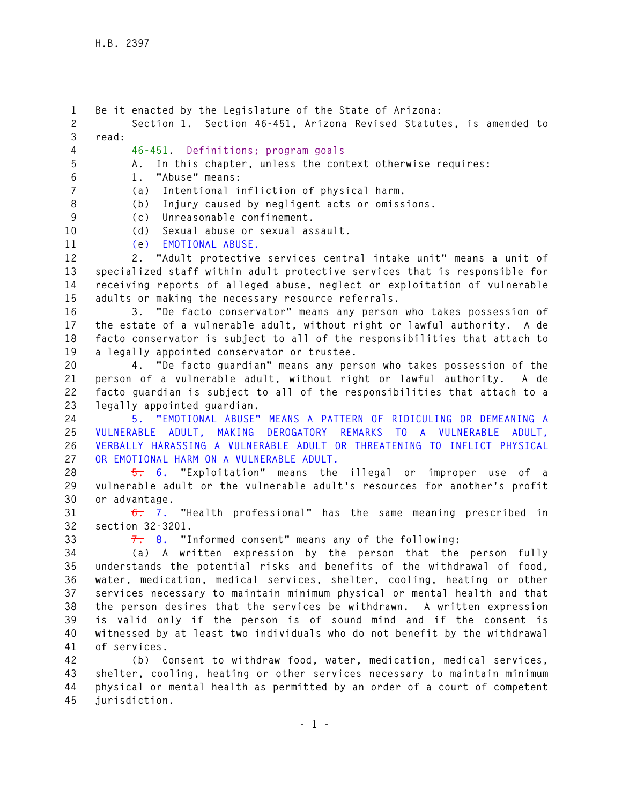**1 Be it enacted by the Legislature of the State of Arizona: 2 Section 1. Section 46-451, Arizona Revised Statutes, is amended to 3 read: 4 46-451. Definitions; program goals 5 A. In this chapter, unless the context otherwise requires: 6 1. "Abuse" means: 7 (a) Intentional infliction of physical harm. 8 (b) Injury caused by negligent acts or omissions. 9 (c) Unreasonable confinement. 10 (d) Sexual abuse or sexual assault. 11 (e) EMOTIONAL ABUSE. 12 2. "Adult protective services central intake unit" means a unit of 13 specialized staff within adult protective services that is responsible for 14 receiving reports of alleged abuse, neglect or exploitation of vulnerable 15 adults or making the necessary resource referrals. 16 3. "De facto conservator" means any person who takes possession of 17 the estate of a vulnerable adult, without right or lawful authority. A de 18 facto conservator is subject to all of the responsibilities that attach to 19 a legally appointed conservator or trustee. 20 4. "De facto guardian" means any person who takes possession of the 21 person of a vulnerable adult, without right or lawful authority. A de 22 facto guardian is subject to all of the responsibilities that attach to a 23 legally appointed guardian. 24 5. "EMOTIONAL ABUSE" MEANS A PATTERN OF RIDICULING OR DEMEANING A 25 VULNERABLE ADULT, MAKING DEROGATORY REMARKS TO A VULNERABLE ADULT, 26 VERBALLY HARASSING A VULNERABLE ADULT OR THREATENING TO INFLICT PHYSICAL 27 OR EMOTIONAL HARM ON A VULNERABLE ADULT. 28 5. 6. "Exploitation" means the illegal or improper use of a 29 vulnerable adult or the vulnerable adult's resources for another's profit 30 or advantage. 31 6. 7. "Health professional" has the same meaning prescribed in 32 section 32-3201. 33 7. 8. "Informed consent" means any of the following: 34 (a) A written expression by the person that the person fully 35 understands the potential risks and benefits of the withdrawal of food, 36 water, medication, medical services, shelter, cooling, heating or other 37 services necessary to maintain minimum physical or mental health and that 38 the person desires that the services be withdrawn. A written expression 39 is valid only if the person is of sound mind and if the consent is 40 witnessed by at least two individuals who do not benefit by the withdrawal 41 of services. 42 (b) Consent to withdraw food, water, medication, medical services, 43 shelter, cooling, heating or other services necessary to maintain minimum 44 physical or mental health as permitted by an order of a court of competent 45 jurisdiction.**